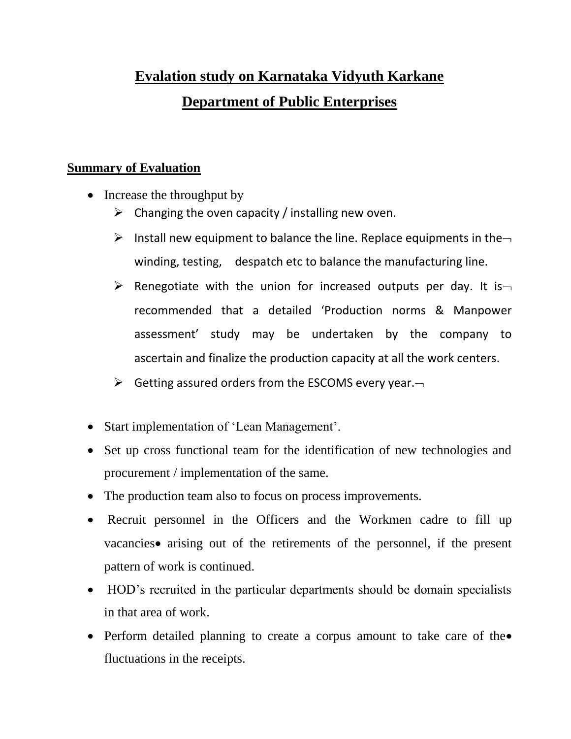## **Evalation study on Karnataka Vidyuth Karkane Department of Public Enterprises**

## **Summary of Evaluation**

- Increase the throughput by
	- $\triangleright$  Changing the oven capacity / installing new oven.
	- $\triangleright$  Install new equipment to balance the line. Replace equipments in the winding, testing, despatch etc to balance the manufacturing line.
	- $\triangleright$  Renegotiate with the union for increased outputs per day. It is recommended that a detailed 'Production norms & Manpower assessment' study may be undertaken by the company to ascertain and finalize the production capacity at all the work centers.
	- $\triangleright$  Getting assured orders from the ESCOMS every year.
- Start implementation of 'Lean Management'.
- Set up cross functional team for the identification of new technologies and procurement / implementation of the same.
- The production team also to focus on process improvements.
- Recruit personnel in the Officers and the Workmen cadre to fill up vacancies arising out of the retirements of the personnel, if the present pattern of work is continued.
- HOD's recruited in the particular departments should be domain specialists in that area of work.
- Perform detailed planning to create a corpus amount to take care of the fluctuations in the receipts.